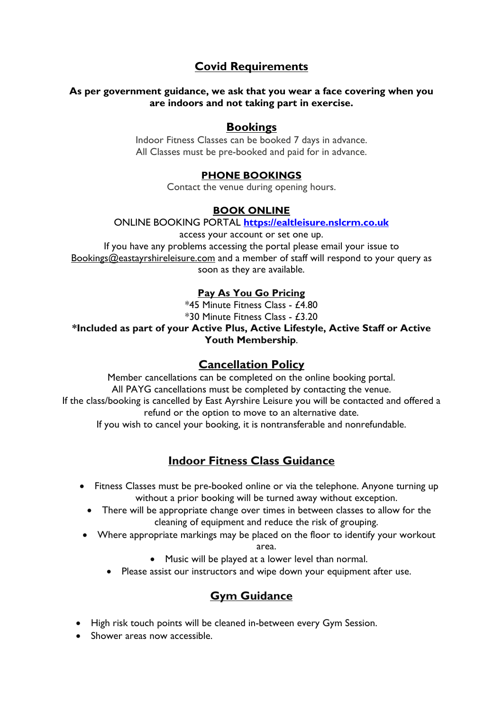# **Covid Requirements**

#### **As per government guidance, we ask that you wear a face covering when you are indoors and not taking part in exercise.**

## **Bookings**

Indoor Fitness Classes can be booked 7 days in advance. All Classes must be pre-booked and paid for in advance.

### **PHONE BOOKINGS**

Contact the venue during opening hours.

#### **BOOK ONLINE**

ONLINE BOOKING PORTAL **[https://ealtleisure.nslcrm.co.uk](https://ealtleisure.nslcrm.co.uk/)**

access your account or set one up. If you have any problems accessing the portal please email your issue to [Bookings@eastayrshireleisure.com](mailto:Bookings@eastayrshireleisure.com) and a member of staff will respond to your query as soon as they are available.

### **Pay As You Go Pricing**

\*45 Minute Fitness Class - £4.80 \*30 Minute Fitness Class - £3.20

#### **\*Included as part of your Active Plus, Active Lifestyle, Active Staff or Active Youth Membership**.

## **Cancellation Policy**

Member cancellations can be completed on the online booking portal. All PAYG cancellations must be completed by contacting the venue. If the class/booking is cancelled by East Ayrshire Leisure you will be contacted and offered a refund or the option to move to an alternative date.

If you wish to cancel your booking, it is nontransferable and nonrefundable.

# **Indoor Fitness Class Guidance**

- Fitness Classes must be pre-booked online or via the telephone. Anyone turning up without a prior booking will be turned away without exception.
	- There will be appropriate change over times in between classes to allow for the cleaning of equipment and reduce the risk of grouping.
- Where appropriate markings may be placed on the floor to identify your workout area.
	- Music will be played at a lower level than normal.
	- Please assist our instructors and wipe down your equipment after use.

# **Gym Guidance**

- High risk touch points will be cleaned in-between every Gym Session.
- Shower areas now accessible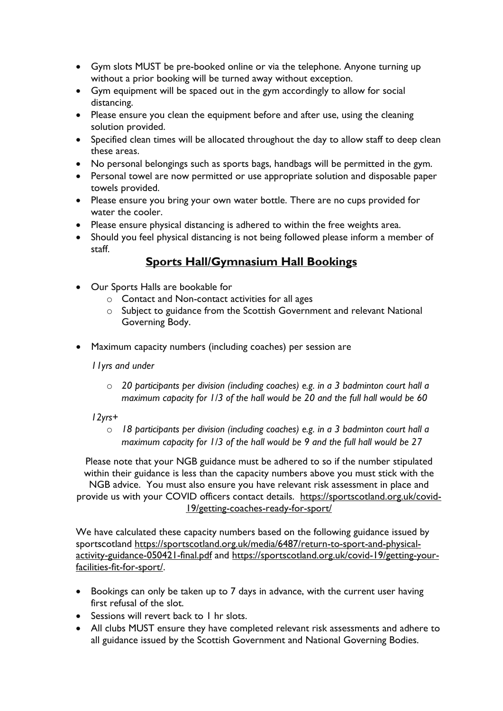- Gym slots MUST be pre-booked online or via the telephone. Anyone turning up without a prior booking will be turned away without exception.
- Gym equipment will be spaced out in the gym accordingly to allow for social distancing.
- Please ensure you clean the equipment before and after use, using the cleaning solution provided.
- Specified clean times will be allocated throughout the day to allow staff to deep clean these areas.
- No personal belongings such as sports bags, handbags will be permitted in the gym.
- Personal towel are now permitted or use appropriate solution and disposable paper towels provided.
- Please ensure you bring your own water bottle. There are no cups provided for water the cooler
- Please ensure physical distancing is adhered to within the free weights area.
- Should you feel physical distancing is not being followed please inform a member of staff.

# **Sports Hall/Gymnasium Hall Bookings**

- Our Sports Halls are bookable for
	- o Contact and Non-contact activities for all ages
	- $\circ$  Subject to guidance from the Scottish Government and relevant National Governing Body.
- Maximum capacity numbers (including coaches) per session are

*11yrs and under*

- o *20 participants per division (including coaches) e.g. in a 3 badminton court hall a maximum capacity for 1/3 of the hall would be 20 and the full hall would be 60*
- *12yrs+*
	- o *18 participants per division (including coaches) e.g. in a 3 badminton court hall a maximum capacity for 1/3 of the hall would be 9 and the full hall would be 27*

Please note that your NGB guidance must be adhered to so if the number stipulated within their guidance is less than the capacity numbers above you must stick with the

NGB advice. You must also ensure you have relevant risk assessment in place and provide us with your COVID officers contact details. [https://sportscotland.org.uk/covid-](https://sportscotland.org.uk/covid-19/getting-coaches-ready-for-sport/)[19/getting-coaches-ready-for-sport/](https://sportscotland.org.uk/covid-19/getting-coaches-ready-for-sport/)

We have calculated these capacity numbers based on the following guidance issued by sportscotland [https://sportscotland.org.uk/media/6487/return-to-sport-and-physical](https://sportscotland.org.uk/media/6487/return-to-sport-and-physical-activity-guidance-050421-final.pdf)[activity-guidance-050421-final.pdf](https://sportscotland.org.uk/media/6487/return-to-sport-and-physical-activity-guidance-050421-final.pdf) and [https://sportscotland.org.uk/covid-19/getting-your](https://sportscotland.org.uk/covid-19/getting-your-facilities-fit-for-sport/)[facilities-fit-for-sport/.](https://sportscotland.org.uk/covid-19/getting-your-facilities-fit-for-sport/)

- Bookings can only be taken up to 7 days in advance, with the current user having first refusal of the slot.
- Sessions will revert back to I hr slots.
- All clubs MUST ensure they have completed relevant risk assessments and adhere to all guidance issued by the Scottish Government and National Governing Bodies.